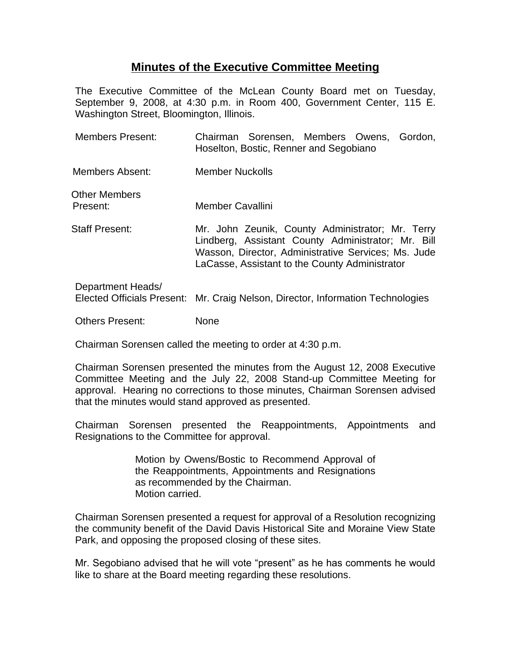## **Minutes of the Executive Committee Meeting**

The Executive Committee of the McLean County Board met on Tuesday, September 9, 2008, at 4:30 p.m. in Room 400, Government Center, 115 E. Washington Street, Bloomington, Illinois.

| <b>Members Present:</b>   | Chairman Sorensen, Members Owens, Gordon,<br>Hoselton, Bostic, Renner and Segobiano                                                                                                                             |
|---------------------------|-----------------------------------------------------------------------------------------------------------------------------------------------------------------------------------------------------------------|
| Members Absent:           | Member Nuckolls                                                                                                                                                                                                 |
| Other Members<br>Present: | <b>Member Cavallini</b>                                                                                                                                                                                         |
| <b>Staff Present:</b>     | Mr. John Zeunik, County Administrator; Mr. Terry<br>Lindberg, Assistant County Administrator; Mr. Bill<br>Wasson, Director, Administrative Services; Ms. Jude<br>LaCasse, Assistant to the County Administrator |
| Department Heads/         | Elected Officials Present: Mr. Craig Nelson, Director, Information Technologies                                                                                                                                 |

Others Present: None

Chairman Sorensen called the meeting to order at 4:30 p.m.

Chairman Sorensen presented the minutes from the August 12, 2008 Executive Committee Meeting and the July 22, 2008 Stand-up Committee Meeting for approval. Hearing no corrections to those minutes, Chairman Sorensen advised that the minutes would stand approved as presented.

Chairman Sorensen presented the Reappointments, Appointments and Resignations to the Committee for approval.

> Motion by Owens/Bostic to Recommend Approval of the Reappointments, Appointments and Resignations as recommended by the Chairman. Motion carried.

Chairman Sorensen presented a request for approval of a Resolution recognizing the community benefit of the David Davis Historical Site and Moraine View State Park, and opposing the proposed closing of these sites.

Mr. Segobiano advised that he will vote "present" as he has comments he would like to share at the Board meeting regarding these resolutions.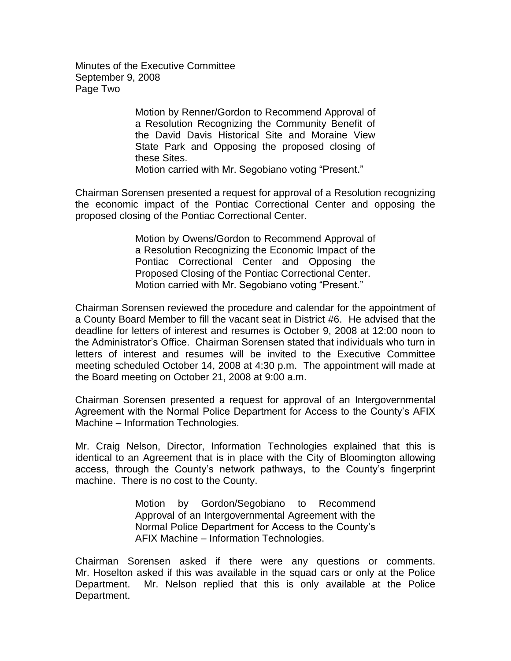Minutes of the Executive Committee September 9, 2008 Page Two

> Motion by Renner/Gordon to Recommend Approval of a Resolution Recognizing the Community Benefit of the David Davis Historical Site and Moraine View State Park and Opposing the proposed closing of these Sites. Motion carried with Mr. Segobiano voting "Present."

Chairman Sorensen presented a request for approval of a Resolution recognizing the economic impact of the Pontiac Correctional Center and opposing the proposed closing of the Pontiac Correctional Center.

> Motion by Owens/Gordon to Recommend Approval of a Resolution Recognizing the Economic Impact of the Pontiac Correctional Center and Opposing the Proposed Closing of the Pontiac Correctional Center. Motion carried with Mr. Segobiano voting "Present."

Chairman Sorensen reviewed the procedure and calendar for the appointment of a County Board Member to fill the vacant seat in District #6. He advised that the deadline for letters of interest and resumes is October 9, 2008 at 12:00 noon to the Administrator's Office. Chairman Sorensen stated that individuals who turn in letters of interest and resumes will be invited to the Executive Committee meeting scheduled October 14, 2008 at 4:30 p.m. The appointment will made at the Board meeting on October 21, 2008 at 9:00 a.m.

Chairman Sorensen presented a request for approval of an Intergovernmental Agreement with the Normal Police Department for Access to the County's AFIX Machine – Information Technologies.

Mr. Craig Nelson, Director, Information Technologies explained that this is identical to an Agreement that is in place with the City of Bloomington allowing access, through the County's network pathways, to the County's fingerprint machine. There is no cost to the County.

> Motion by Gordon/Segobiano to Recommend Approval of an Intergovernmental Agreement with the Normal Police Department for Access to the County's AFIX Machine – Information Technologies.

Chairman Sorensen asked if there were any questions or comments. Mr. Hoselton asked if this was available in the squad cars or only at the Police Department. Mr. Nelson replied that this is only available at the Police Department.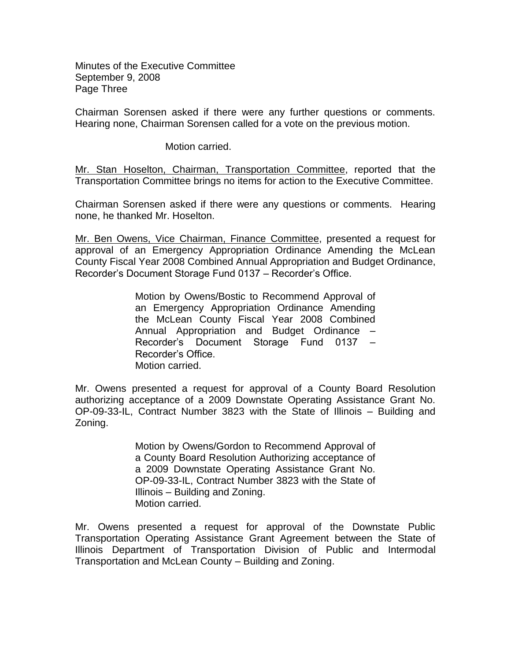Minutes of the Executive Committee September 9, 2008 Page Three

Chairman Sorensen asked if there were any further questions or comments. Hearing none, Chairman Sorensen called for a vote on the previous motion.

Motion carried.

Mr. Stan Hoselton, Chairman, Transportation Committee, reported that the Transportation Committee brings no items for action to the Executive Committee.

Chairman Sorensen asked if there were any questions or comments. Hearing none, he thanked Mr. Hoselton.

Mr. Ben Owens, Vice Chairman, Finance Committee, presented a request for approval of an Emergency Appropriation Ordinance Amending the McLean County Fiscal Year 2008 Combined Annual Appropriation and Budget Ordinance, Recorder's Document Storage Fund 0137 – Recorder's Office.

> Motion by Owens/Bostic to Recommend Approval of an Emergency Appropriation Ordinance Amending the McLean County Fiscal Year 2008 Combined Annual Appropriation and Budget Ordinance – Recorder's Document Storage Fund 0137 – Recorder's Office. Motion carried.

Mr. Owens presented a request for approval of a County Board Resolution authorizing acceptance of a 2009 Downstate Operating Assistance Grant No. OP-09-33-IL, Contract Number 3823 with the State of Illinois – Building and Zoning.

> Motion by Owens/Gordon to Recommend Approval of a County Board Resolution Authorizing acceptance of a 2009 Downstate Operating Assistance Grant No. OP-09-33-IL, Contract Number 3823 with the State of Illinois – Building and Zoning. Motion carried.

Mr. Owens presented a request for approval of the Downstate Public Transportation Operating Assistance Grant Agreement between the State of Illinois Department of Transportation Division of Public and Intermodal Transportation and McLean County – Building and Zoning.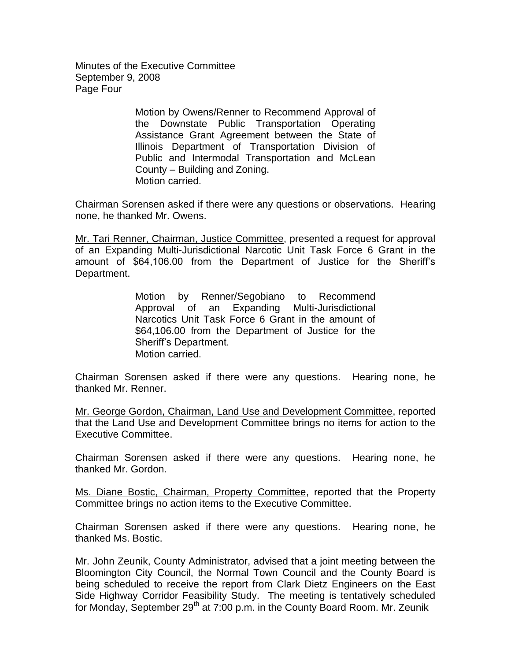Minutes of the Executive Committee September 9, 2008 Page Four

> Motion by Owens/Renner to Recommend Approval of the Downstate Public Transportation Operating Assistance Grant Agreement between the State of Illinois Department of Transportation Division of Public and Intermodal Transportation and McLean County – Building and Zoning. Motion carried.

Chairman Sorensen asked if there were any questions or observations. Hearing none, he thanked Mr. Owens.

Mr. Tari Renner, Chairman, Justice Committee, presented a request for approval of an Expanding Multi-Jurisdictional Narcotic Unit Task Force 6 Grant in the amount of \$64,106.00 from the Department of Justice for the Sheriff's Department.

> Motion by Renner/Segobiano to Recommend Approval of an Expanding Multi-Jurisdictional Narcotics Unit Task Force 6 Grant in the amount of \$64,106.00 from the Department of Justice for the Sheriff's Department. Motion carried.

Chairman Sorensen asked if there were any questions. Hearing none, he thanked Mr. Renner.

Mr. George Gordon, Chairman, Land Use and Development Committee, reported that the Land Use and Development Committee brings no items for action to the Executive Committee.

Chairman Sorensen asked if there were any questions. Hearing none, he thanked Mr. Gordon.

Ms. Diane Bostic, Chairman, Property Committee, reported that the Property Committee brings no action items to the Executive Committee.

Chairman Sorensen asked if there were any questions. Hearing none, he thanked Ms. Bostic.

Mr. John Zeunik, County Administrator, advised that a joint meeting between the Bloomington City Council, the Normal Town Council and the County Board is being scheduled to receive the report from Clark Dietz Engineers on the East Side Highway Corridor Feasibility Study. The meeting is tentatively scheduled for Monday, September 29<sup>th</sup> at 7:00 p.m. in the County Board Room. Mr. Zeunik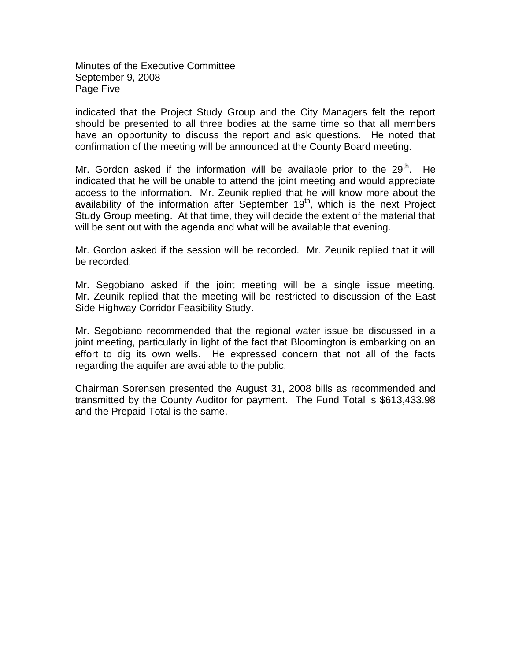Minutes of the Executive Committee September 9, 2008 Page Five

indicated that the Project Study Group and the City Managers felt the report should be presented to all three bodies at the same time so that all members have an opportunity to discuss the report and ask questions. He noted that confirmation of the meeting will be announced at the County Board meeting.

Mr. Gordon asked if the information will be available prior to the  $29<sup>th</sup>$ . He indicated that he will be unable to attend the joint meeting and would appreciate access to the information. Mr. Zeunik replied that he will know more about the availability of the information after September  $19<sup>th</sup>$ , which is the next Project Study Group meeting. At that time, they will decide the extent of the material that will be sent out with the agenda and what will be available that evening.

Mr. Gordon asked if the session will be recorded. Mr. Zeunik replied that it will be recorded.

Mr. Segobiano asked if the joint meeting will be a single issue meeting. Mr. Zeunik replied that the meeting will be restricted to discussion of the East Side Highway Corridor Feasibility Study.

Mr. Segobiano recommended that the regional water issue be discussed in a joint meeting, particularly in light of the fact that Bloomington is embarking on an effort to dig its own wells. He expressed concern that not all of the facts regarding the aquifer are available to the public.

Chairman Sorensen presented the August 31, 2008 bills as recommended and transmitted by the County Auditor for payment. The Fund Total is \$613,433.98 and the Prepaid Total is the same.